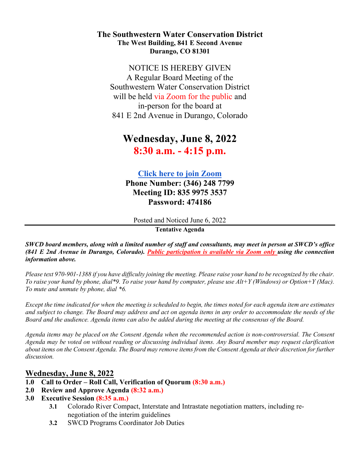# **The Southwestern Water Conservation District The West Building, 841 E Second Avenue Durango, CO 81301**

NOTICE IS HEREBY GIVEN A Regular Board Meeting of the Southwestern Water Conservation District will be held via Zoom for the public and in-person for the board at 841 E 2nd Avenue in Durango, Colorado

# **Wednesday, June 8, 2022 8:30 a.m. - 4:15 p.m.**

# **[Click here to join Zoom](https://us02web.zoom.us/j/83599753537?pwd=L01UUDdOSkFSR2JtaHFDQU10bGJwZz09)**

**Phone Number: (346) 248 7799 Meeting ID: 835 9975 3537 Password: 474186** 

Posted and Noticed June 6, 2022

**Tentative Agenda**

*SWCD board members, along with a limited number of staff and consultants, may meet in person at SWCD's office (841 E 2nd Avenue in Durango, Colorado). Public participation is available via Zoom only using the connection information above.* 

*Please text 970-901-1388 if you have difficulty joining the meeting. Please raise your hand to be recognized by the chair. To raise your hand by phone, dial\*9. To raise your hand by computer, please use Alt+Y (Windows) or Option+Y (Mac). To mute and unmute by phone, dial \*6.* 

*Except the time indicated for when the meeting is scheduled to begin, the times noted for each agenda item are estimates and subject to change. The Board may address and act on agenda items in any order to accommodate the needs of the Board and the audience. Agenda items can also be added during the meeting at the consensus of the Board.* 

*Agenda items may be placed on the Consent Agenda when the recommended action is non-controversial. The Consent Agenda may be voted on without reading or discussing individual items. Any Board member may request clarification about items on the Consent Agenda. The Board may remove items from the Consent Agenda at their discretion for further discussion.* 

# **Wednesday, June 8, 2022**

- **1.0 Call to Order Roll Call, Verification of Quorum (8:30 a.m.)**
- **2.0 Review and Approve Agenda (8:32 a.m.)**
- **3.0 Executive Session (8:35 a.m.)**
	- **3.1** Colorado River Compact, Interstate and Intrastate negotiation matters, including renegotiation of the interim guidelines
	- **3.2** SWCD Programs Coordinator Job Duties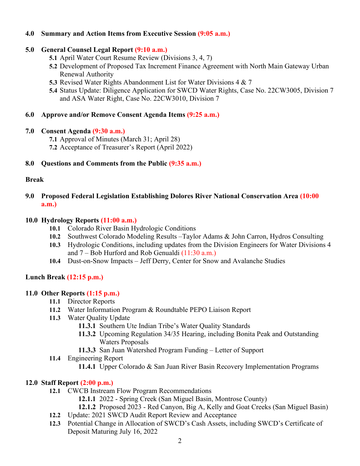## **4.0 Summary and Action Items from Executive Session (9:05 a.m.)**

#### **5.0 General Counsel Legal Report (9:10 a.m.)**

- **5.1** April Water Court Resume Review (Divisions 3, 4, 7)
- **5.2** Development of Proposed Tax Increment Finance Agreement with North Main Gateway Urban Renewal Authority
- **5.3** Revised Water Rights Abandonment List for Water Divisions 4 & 7
- **5.4** Status Update: Diligence Application for SWCD Water Rights, Case No. 22CW3005, Division 7 and ASA Water Right, Case No. 22CW3010, Division 7

#### **6.0 Approve and/or Remove Consent Agenda Items (9:25 a.m.)**

#### **7.0 Consent Agenda (9:30 a.m.)**

- **7.1** Approval of Minutes (March 31; April 28)
- **7.2** Acceptance of Treasurer's Report (April 2022)

## **8.0 Questions and Comments from the Public (9:35 a.m.)**

## **Break**

# **9.0 Proposed Federal Legislation Establishing Dolores River National Conservation Area (10:00 a.m.)**

#### **10.0 Hydrology Reports (11:00 a.m.)**

- **10.1** Colorado River Basin Hydrologic Conditions
- **10.2** Southwest Colorado Modeling Results –Taylor Adams & John Carron, Hydros Consulting
- **10.3** Hydrologic Conditions, including updates from the Division Engineers for Water Divisions 4 and 7 – Bob Hurford and Rob Genualdi (11:30 a.m.)
- **10.4** Dust-on-Snow Impacts Jeff Derry, Center for Snow and Avalanche Studies

# **Lunch Break (12:15 p.m.)**

# **11.0 Other Reports (1:15 p.m.)**

- **11.1** Director Reports
- **11.2** Water Information Program & Roundtable PEPO Liaison Report
- **11.3** Water Quality Update
	- **11.3.1** Southern Ute Indian Tribe's Water Quality Standards
	- **11.3.2** Upcoming Regulation 34/35 Hearing, including Bonita Peak and Outstanding Waters Proposals
	- **11.3.3** San Juan Watershed Program Funding Letter of Support
- **11.4** Engineering Report
	- **11.4.1** Upper Colorado & San Juan River Basin Recovery Implementation Programs

# **12.0 Staff Report (2:00 p.m.)**

- **12.1** CWCB Instream Flow Program Recommendations
	- **12.1.1** 2022 Spring Creek (San Miguel Basin, Montrose County)
	- **12.1.2** Proposed 2023 Red Canyon, Big A, Kelly and Goat Creeks (San Miguel Basin)
- **12.2** Update: 2021 SWCD Audit Report Review and Acceptance
- **12.3** Potential Change in Allocation of SWCD's Cash Assets, including SWCD's Certificate of Deposit Maturing July 16, 2022